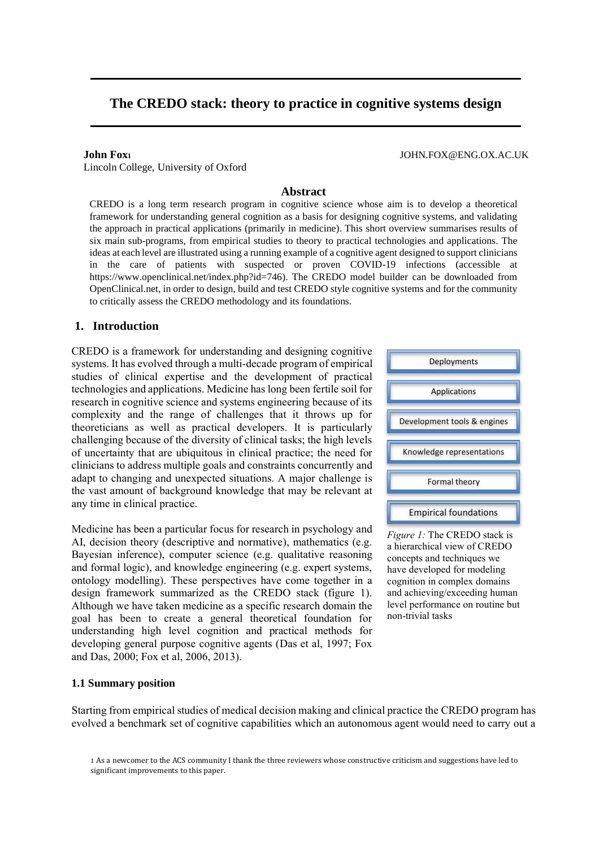# **The CREDO stack: theory to practice in cognitive systems design**

**John Fox<sup>1</sup>** JOHN.FOX@ENG.OX.AC.UK

Lincoln College, University of Oxford

#### **Abstract**

CREDO is a long term research program in cognitive science whose aim is to develop a theoretical framework for understanding general cognition as a basis for designing cognitive systems, and validating the approach in practical applications (primarily in medicine). This short overview summarises results of six main sub-programs, from empirical studies to theory to practical technologies and applications. The ideas at each level are illustrated using a running example of a cognitive agent designed to support clinicians in the care of patients with suspected or proven COVID-19 infections (accessible at [https://www.openclinical.net/index.php?id=746\)](https://www.openclinical.net/index.php?id=746). The CREDO model builder can be downloaded from OpenClinical.net, in order to design, build and test CREDO style cognitive systems and for the community to critically assess the CREDO methodology and its foundations.

#### **1. Introduction**

CREDO is a framework for understanding and designing cognitive systems. It has evolved through a multi-decade program of empirical studies of clinical expertise and the development of practical technologies and applications. Medicine has long been fertile soil for research in cognitive science and systems engineering because of its complexity and the range of challenges that it throws up for theoreticians as well as practical developers. It is particularly challenging because of the diversity of clinical tasks; the high levels of uncertainty that are ubiquitous in clinical practice; the need for clinicians to address multiple goals and constraints concurrently and adapt to changing and unexpected situations. A major challenge is the vast amount of background knowledge that may be relevant at any time in clinical practice.

Medicine has been a particular focus for research in psychology and AI, decision theory (descriptive and normative), mathematics (e.g. Bayesian inference), computer science (e.g. qualitative reasoning and formal logic), and knowledge engineering (e.g. expert systems, ontology modelling). These perspectives have come together in a design framework summarized as the CREDO stack (figure 1). Although we have taken medicine as a specific research domain the goal has been to create a general theoretical foundation for understanding high level cognition and practical methods for developing general purpose cognitive agents (Das et al, 1997; Fox and Das, 2000; Fox et al, 2006, 2013).

# Empirical foundations Formal theory Knowledge representations Development tools & engines Applications Deployments

*Figure 1:* The CREDO stack is a hierarchical view of CREDO concepts and techniques we have developed for modeling cognition in complex domains and achieving/exceeding human level performance on routine but non-trivial tasks

#### **1.1 Summary position**

Starting from empirical studies of medical decision making and clinical practice the CREDO program has evolved a benchmark set of cognitive capabilities which an autonomous agent would need to carry out a

<sup>1</sup> As a newcomer to the ACS community I thank the three reviewers whose constructive criticism and suggestions have led to significant improvements to this paper.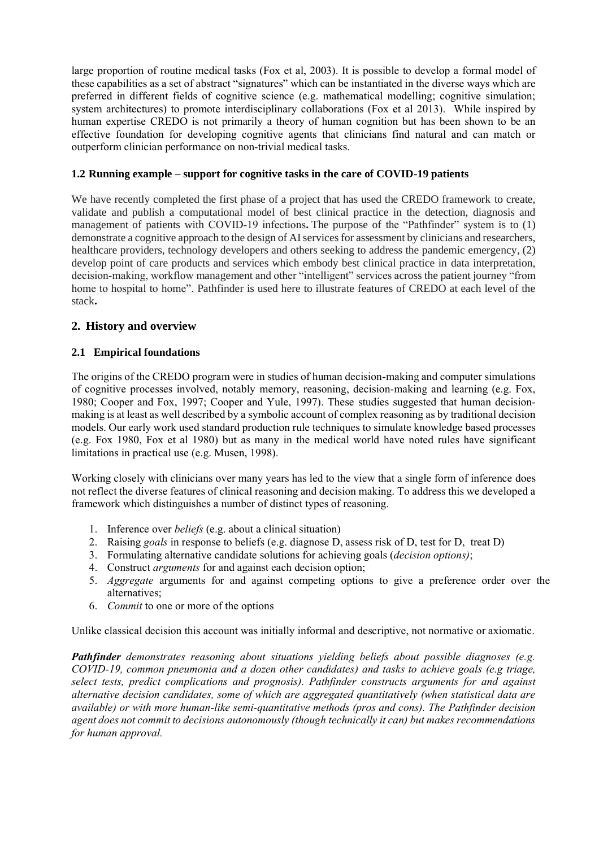large proportion of routine medical tasks (Fox et al, 2003). It is possible to develop a formal model of these capabilities as a set of abstract "signatures" which can be instantiated in the diverse ways which are preferred in different fields of cognitive science (e.g. mathematical modelling; cognitive simulation; system architectures) to promote interdisciplinary collaborations (Fox et al 2013). While inspired by human expertise CREDO is not primarily a theory of human cognition but has been shown to be an effective foundation for developing cognitive agents that clinicians find natural and can match or outperform clinician performance on non-trivial medical tasks.

### **1.2 Running example – support for cognitive tasks in the care of COVID-19 patients**

We have recently completed the first phase of a project that has used the CREDO framework to create, validate and publish a computational model of best clinical practice in the detection, diagnosis and management of patients with COVID-19 infections. The purpose of the "Pathfinder" system is to (1) demonstrate a cognitive approach to the design of AI services for assessment by clinicians and researchers, healthcare providers, technology developers and others seeking to address the pandemic emergency, (2) develop point of care products and services which embody best clinical practice in data interpretation, decision‐making, workflow management and other "intelligent" services across the patient journey "from home to hospital to home". Pathfinder is used here to illustrate features of CREDO at each level of the stack**.**

# **2. History and overview**

# **2.1 Empirical foundations**

The origins of the CREDO program were in studies of human decision-making and computer simulations of cognitive processes involved, notably memory, reasoning, decision-making and learning (e.g. Fox, 1980; Cooper and Fox, 1997; Cooper and Yule, 1997). These studies suggested that human decisionmaking is at least as well described by a symbolic account of complex reasoning as by traditional decision models. Our early work used standard production rule techniques to simulate knowledge based processes (e.g. Fox 1980, Fox et al 1980) but as many in the medical world have noted rules have significant limitations in practical use (e.g. Musen, 1998).

Working closely with clinicians over many years has led to the view that a single form of inference does not reflect the diverse features of clinical reasoning and decision making. To address this we developed a framework which distinguishes a number of distinct types of reasoning.

- 1. Inference over *beliefs* (e.g. about a clinical situation)
- 2. Raising *goals* in response to beliefs (e.g. diagnose D, assess risk of D, test for D, treat D)
- 3. Formulating alternative candidate solutions for achieving goals (*decision options)*;
- 4. Construct *arguments* for and against each decision option;
- 5. *Aggregate* arguments for and against competing options to give a preference order over the alternatives;
- 6. *Commit* to one or more of the options

Unlike classical decision this account was initially informal and descriptive, not normative or axiomatic.

*Pathfinder demonstrates reasoning about situations yielding beliefs about possible diagnoses (e.g. COVID-19, common pneumonia and a dozen other candidates) and tasks to achieve goals (e.g triage, select tests, predict complications and prognosis). Pathfinder constructs arguments for and against alternative decision candidates, some of which are aggregated quantitatively (when statistical data are available) or with more human-like semi-quantitative methods (pros and cons). The Pathfinder decision agent does not commit to decisions autonomously (though technically it can) but makes recommendations for human approval.*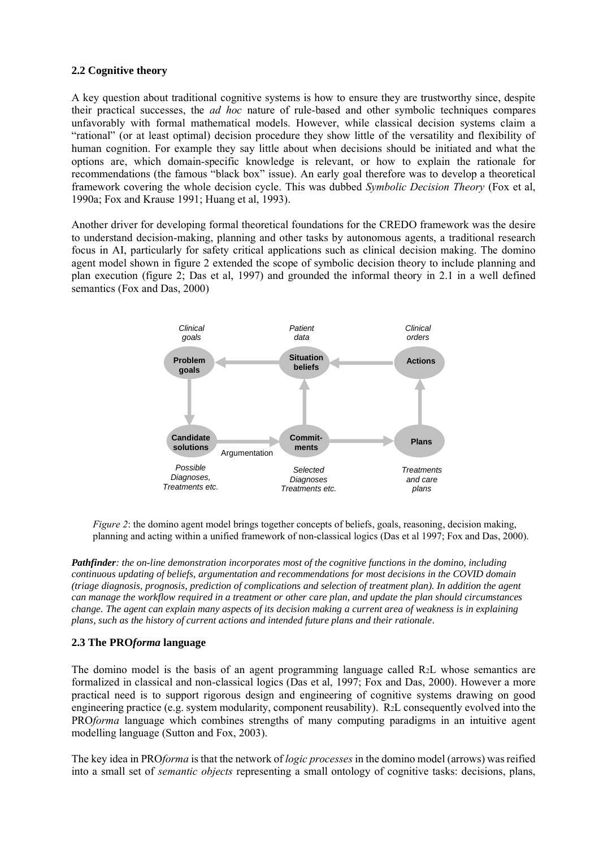#### **2.2 Cognitive theory**

A key question about traditional cognitive systems is how to ensure they are trustworthy since, despite their practical successes, the *ad hoc* nature of rule-based and other symbolic techniques compares unfavorably with formal mathematical models. However, while classical decision systems claim a "rational" (or at least optimal) decision procedure they show little of the versatility and flexibility of human cognition. For example they say little about when decisions should be initiated and what the options are, which domain-specific knowledge is relevant, or how to explain the rationale for recommendations (the famous "black box" issue). An early goal therefore was to develop a theoretical framework covering the whole decision cycle. This was dubbed *Symbolic Decision Theory* (Fox et al, 1990a; Fox and Krause 1991; Huang et al, 1993).

Another driver for developing formal theoretical foundations for the CREDO framework was the desire to understand decision-making, planning and other tasks by autonomous agents, a traditional research focus in AI, particularly for safety critical applications such as clinical decision making. The domino agent model shown in figure 2 extended the scope of symbolic decision theory to include planning and plan execution (figure 2; Das et al, 1997) and grounded the informal theory in 2.1 in a well defined semantics (Fox and Das, 2000)



*Figure 2*: the domino agent model brings together concepts of beliefs, goals, reasoning, decision making, planning and acting within a unified framework of non-classical logics (Das et al 1997; Fox and Das, 2000).

*Pathfinder: the on-line demonstration incorporates most of the cognitive functions in the domino, including continuous updating of beliefs, argumentation and recommendations for most decisions in the COVID domain (triage diagnosis, prognosis, prediction of complications and selection of treatment plan). In addition the agent can manage the workflow required in a treatment or other care plan, and update the plan should circumstances change. The agent can explain many aspects of its decision making a current area of weakness is in explaining plans, such as the history of current actions and intended future plans and their rationale.*

#### **2.3 The PRO***forma* **language**

The domino model is the basis of an agent programming language called R2L whose semantics are formalized in classical and non-classical logics (Das et al, 1997; Fox and Das, 2000). However a more practical need is to support rigorous design and engineering of cognitive systems drawing on good engineering practice (e.g. system modularity, component reusability). R2L consequently evolved into the PRO*forma* language which combines strengths of many computing paradigms in an intuitive agent modelling language (Sutton and Fox, 2003).

The key idea in PRO*forma* is that the network of *logic processes* in the domino model (arrows) was reified into a small set of *semantic objects* representing a small ontology of cognitive tasks: decisions, plans,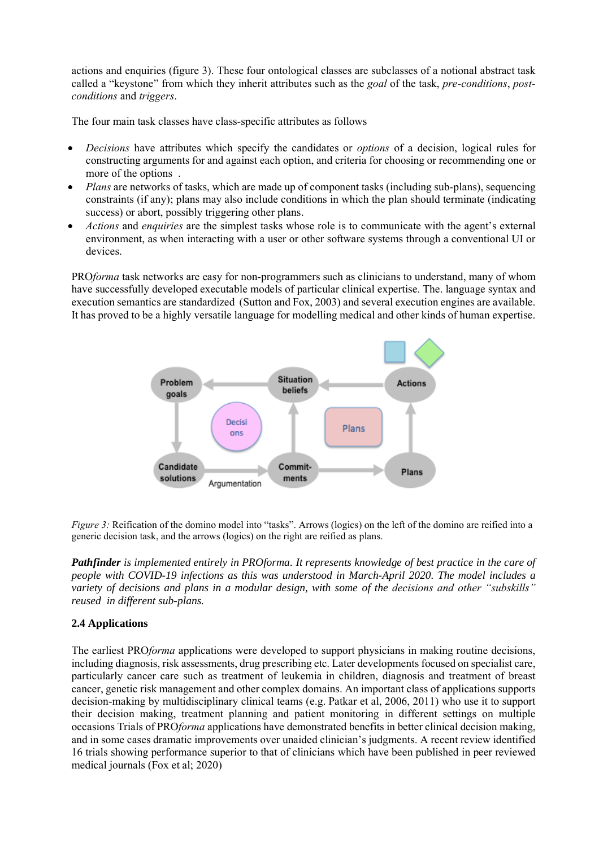actions and enquiries (figure 3). These four ontological classes are subclasses of a notional abstract task called a "keystone" from which they inherit attributes such as the *goal* of the task, *pre-conditions*, *postconditions* and *triggers*.

The four main task classes have class-specific attributes as follows

- *Decisions* have attributes which specify the candidates or *options* of a decision, logical rules for constructing arguments for and against each option, and criteria for choosing or recommending one or more of the options .
- *Plans* are networks of tasks, which are made up of component tasks (including sub-plans), sequencing constraints (if any); plans may also include conditions in which the plan should terminate (indicating success) or abort, possibly triggering other plans.
- *Actions* and *enquiries* are the simplest tasks whose role is to communicate with the agent's external environment, as when interacting with a user or other software systems through a conventional UI or devices.

PRO*forma* task networks are easy for non-programmers such as clinicians to understand, many of whom have successfully developed executable models of particular clinical expertise. The. language syntax and execution semantics are standardized (Sutton and Fox, 2003) and several execution engines are available. It has proved to be a highly versatile language for modelling medical and other kinds of human expertise.



*Figure 3:* Reification of the domino model into "tasks". Arrows (logics) on the left of the domino are reified into a generic decision task, and the arrows (logics) on the right are reified as plans.

*Pathfinder is implemented entirely in PROforma. It represents knowledge of best practice in the care of people with COVID-19 infections as this was understood in March-April 2020. The model includes a variety of decisions and plans in a modular design, with some of the decisions and other "subskills" reused in different sub-plans.*

#### **2.4 Applications**

The earliest PRO*forma* applications were developed to support physicians in making routine decisions, including diagnosis, risk assessments, drug prescribing etc. Later developments focused on specialist care, particularly cancer care such as treatment of leukemia in children, diagnosis and treatment of breast cancer, genetic risk management and other complex domains. An important class of applications supports decision-making by multidisciplinary clinical teams (e.g. Patkar et al, 2006, 2011) who use it to support their decision making, treatment planning and patient monitoring in different settings on multiple occasions Trials of PRO*forma* applications have demonstrated benefits in better clinical decision making, and in some cases dramatic improvements over unaided clinician's judgments. A recent review identified 16 trials showing performance superior to that of clinicians which have been published in peer reviewed medical journals (Fox et al; 2020)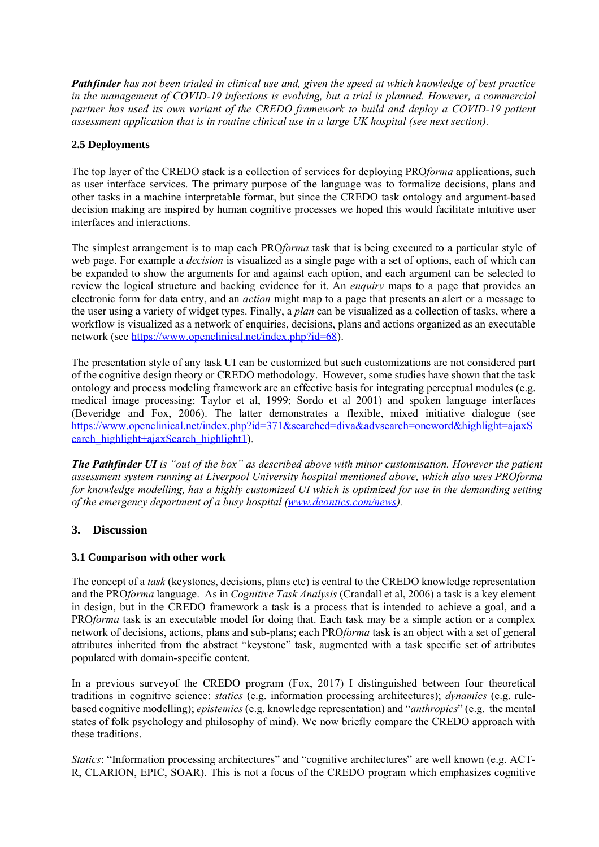*Pathfinder has not been trialed in clinical use and, given the speed at which knowledge of best practice in the management of COVID-19 infections is evolving, but a trial is planned. However, a commercial partner has used its own variant of the CREDO framework to build and deploy a COVID-19 patient assessment application that is in routine clinical use in a large UK hospital (see next section).*

# **2.5 Deployments**

The top layer of the CREDO stack is a collection of services for deploying PRO*forma* applications, such as user interface services. The primary purpose of the language was to formalize decisions, plans and other tasks in a machine interpretable format, but since the CREDO task ontology and argument-based decision making are inspired by human cognitive processes we hoped this would facilitate intuitive user interfaces and interactions.

The simplest arrangement is to map each PRO*forma* task that is being executed to a particular style of web page. For example a *decision* is visualized as a single page with a set of options, each of which can be expanded to show the arguments for and against each option, and each argument can be selected to review the logical structure and backing evidence for it. An *enquiry* maps to a page that provides an electronic form for data entry, and an *action* might map to a page that presents an alert or a message to the user using a variety of widget types. Finally, a *plan* can be visualized as a collection of tasks, where a workflow is visualized as a network of enquiries, decisions, plans and actions organized as an executable network (see [https://www.openclinical.net/index.php?id=68\)](https://www.openclinical.net/index.php?id=68).

The presentation style of any task UI can be customized but such customizations are not considered part of the cognitive design theory or CREDO methodology. However, some studies have shown that the task ontology and process modeling framework are an effective basis for integrating perceptual modules (e.g. medical image processing; Taylor et al, 1999; Sordo et al 2001) and spoken language interfaces (Beveridge and Fox, 2006). The latter demonstrates a flexible, mixed initiative dialogue (see [https://www.openclinical.net/index.php?id=371&searched=diva&advsearch=oneword&highlight=ajaxS](https://www.openclinical.net/index.php?id=371&searched=diva&advsearch=oneword&highlight=ajaxSearch_highlight+ajaxSearch_highlight1) [earch\\_highlight+ajaxSearch\\_highlight1\)](https://www.openclinical.net/index.php?id=371&searched=diva&advsearch=oneword&highlight=ajaxSearch_highlight+ajaxSearch_highlight1).

*The Pathfinder UI* is "out of the box" as described above with minor customisation. However the patient *assessment system running at Liverpool University hospital mentioned above, which also uses PROforma for knowledge modelling, has a highly customized UI which is optimized for use in the demanding setting of the emergency department of a busy hospital [\(www.deontics.com/news\)](http://www.deontics.com/news).*

# **3. Discussion**

# **3.1 Comparison with other work**

The concept of a *task* (keystones, decisions, plans etc) is central to the CREDO knowledge representation and the PRO*forma* language. As in *Cognitive Task Analysis* (Crandall et al, 2006) a task is a key element in design, but in the CREDO framework a task is a process that is intended to achieve a goal, and a PRO*forma* task is an executable model for doing that. Each task may be a simple action or a complex network of decisions, actions, plans and sub-plans; each PRO*forma* task is an object with a set of general attributes inherited from the abstract "keystone" task, augmented with a task specific set of attributes populated with domain-specific content.

In a previous surveyof the CREDO program (Fox, 2017) I distinguished between four theoretical traditions in cognitive science: *statics* (e.g. information processing architectures); *dynamics* (e.g. rulebased cognitive modelling); *epistemics* (e.g. knowledge representation) and "*anthropics*" (e.g. the mental states of folk psychology and philosophy of mind). We now briefly compare the CREDO approach with these traditions.

*Statics*: "Information processing architectures" and "cognitive architectures" are well known (e.g. ACT-R, CLARION, EPIC, SOAR). This is not a focus of the CREDO program which emphasizes cognitive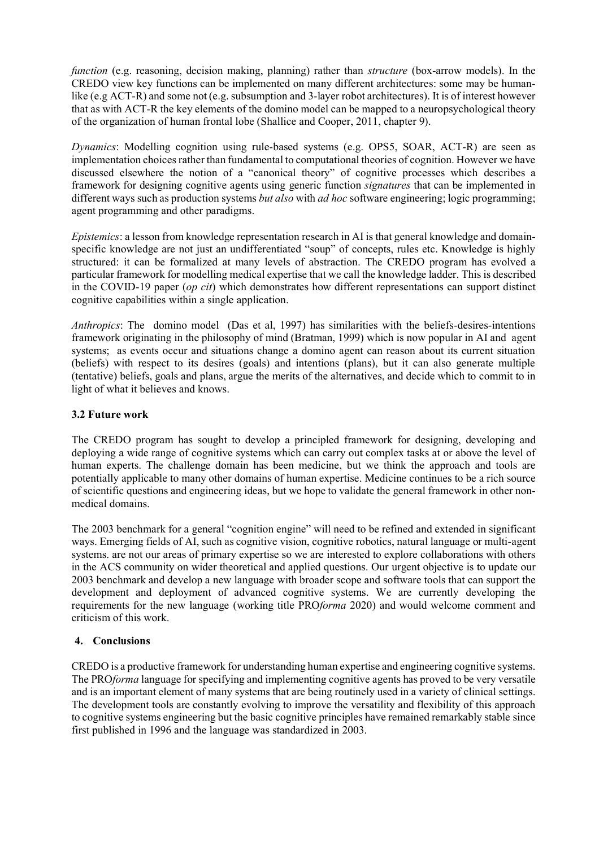*function* (e.g. reasoning, decision making, planning) rather than *structure* (box-arrow models). In the CREDO view key functions can be implemented on many different architectures: some may be humanlike (e.g ACT-R) and some not (e.g. subsumption and 3-layer robot architectures). It is of interest however that as with ACT-R the key elements of the domino model can be mapped to a neuropsychological theory of the organization of human frontal lobe (Shallice and Cooper, 2011, chapter 9).

*Dynamics*: Modelling cognition using rule-based systems (e.g. OPS5, SOAR, ACT-R) are seen as implementation choices rather than fundamental to computational theories of cognition. However we have discussed elsewhere the notion of a "canonical theory" of cognitive processes which describes a framework for designing cognitive agents using generic function *signatures* that can be implemented in different ways such as production systems *but also* with *ad hoc* software engineering; logic programming; agent programming and other paradigms.

*Epistemics*: a lesson from knowledge representation research in AI is that general knowledge and domainspecific knowledge are not just an undifferentiated "soup" of concepts, rules etc. Knowledge is highly structured: it can be formalized at many levels of abstraction. The CREDO program has evolved a particular framework for modelling medical expertise that we call the knowledge ladder. This is described in the COVID-19 paper (*op cit*) which demonstrates how different representations can support distinct cognitive capabilities within a single application.

*Anthropics*: The domino model (Das et al, 1997) has similarities with the beliefs-desires-intentions framework originating in the philosophy of mind (Bratman, 1999) which is now popular in AI and agent systems; as events occur and situations change a domino agent can reason about its current situation (beliefs) with respect to its desires (goals) and intentions (plans), but it can also generate multiple (tentative) beliefs, goals and plans, argue the merits of the alternatives, and decide which to commit to in light of what it believes and knows.

### **3.2 Future work**

The CREDO program has sought to develop a principled framework for designing, developing and deploying a wide range of cognitive systems which can carry out complex tasks at or above the level of human experts. The challenge domain has been medicine, but we think the approach and tools are potentially applicable to many other domains of human expertise. Medicine continues to be a rich source of scientific questions and engineering ideas, but we hope to validate the general framework in other nonmedical domains.

The 2003 benchmark for a general "cognition engine" will need to be refined and extended in significant ways. Emerging fields of AI, such as cognitive vision, cognitive robotics, natural language or multi-agent systems. are not our areas of primary expertise so we are interested to explore collaborations with others in the ACS community on wider theoretical and applied questions. Our urgent objective is to update our 2003 benchmark and develop a new language with broader scope and software tools that can support the development and deployment of advanced cognitive systems. We are currently developing the requirements for the new language (working title PRO*forma* 2020) and would welcome comment and criticism of this work.

# **4. Conclusions**

CREDO is a productive framework for understanding human expertise and engineering cognitive systems. The PRO*forma* language for specifying and implementing cognitive agents has proved to be very versatile and is an important element of many systems that are being routinely used in a variety of clinical settings. The development tools are constantly evolving to improve the versatility and flexibility of this approach to cognitive systems engineering but the basic cognitive principles have remained remarkably stable since first published in 1996 and the language was standardized in 2003.